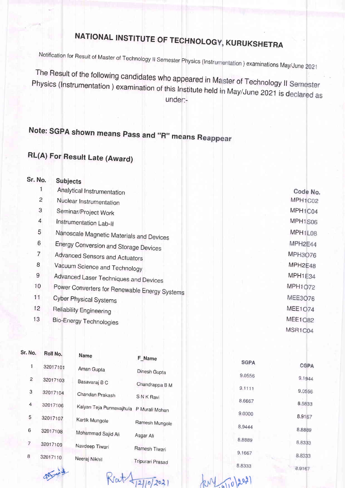## NATIONAL INSTITUTE OF TEOHNOLOG KURUKSHETRA

Notification for Result of Master of Technology II Semester Physics (Instrumentation ) examinations May/June

The Result of the following candidates who appeared in Ma<br>Physics (Instrumentation ) examination of this Institute held i under: ter of Technology ll Physics (Instrumentation ) examination of this Institute held in May/June 2021 is declared as

## Note: SGPA shown means Pass and "R" means Reappear

## RL(A) For Result Late (Award)

| Sr. No.        | <b>Subjects</b>                               |                |  |  |
|----------------|-----------------------------------------------|----------------|--|--|
|                | Analytical Instrumentation                    | Code No.       |  |  |
| $\overline{c}$ | Nuclear Instrumentation                       | MPH1C02        |  |  |
| 3              | Seminar/Project Work                          | MPH1C04        |  |  |
| $\overline{4}$ | Instrumentation Lab-II                        | MPH1S06        |  |  |
| 5              | Nanoscale Magnetic Materials and Devices      | MPH1L08        |  |  |
| 6              | Energy Conversion and Storage Devices         | MPH2E44        |  |  |
| $\overline{7}$ | Advanced Sensors and Actuators                | MPH3076        |  |  |
| 8              | Vacuum Science and Technology                 | MPH2E48        |  |  |
| 9              | Advanced Laser Techniques and Devices         |                |  |  |
| 10             | Power Converters for Renewable Energy Systems | MPH1072        |  |  |
| 11             | <b>Cyber Physical Systems</b>                 | MEE3076        |  |  |
| 12             | Reliability Engineering                       | <b>MEE1074</b> |  |  |
| 13             | <b>Bio-Energy Technologies</b>                | <b>MEE1082</b> |  |  |
|                |                                               | MSR1C04        |  |  |
|                |                                               |                |  |  |

| Sr. No.        | Roll No.                  | <b>Name</b>                             | F_Name          |             |             |
|----------------|---------------------------|-----------------------------------------|-----------------|-------------|-------------|
| 1              | 32017101                  | Aman Gupta                              |                 | <b>SGPA</b> | <b>CGPA</b> |
|                |                           |                                         | Dinesh Gupta    | 9.0556      | 9.1944      |
| 2              | 32017103                  | Basavaraj B C                           | Chandrappa B M  | 9.1111      |             |
| 3              | 32017104                  | Chandan Prakash                         | <b>SNK Ravi</b> |             | 9.0556      |
| 4              | 32017106                  | Kalyan Teja Punnavajhula P Murali Mohan |                 | 8.6667      | 8.5833      |
| 5              | 32017107                  |                                         |                 | 9.0000      | 8.9167      |
|                |                           | Kartik Mungole                          | Ramesh Mungole  | 8.9444      |             |
| 6              | 32017108                  | Mohammad Sajid Ali                      | Asgar Ali       |             | 8.8889      |
| $\overline{7}$ | 32017109                  | Navdeep Tiwari                          |                 | 8.8889      | 8.8333      |
| 8              | 32017110<br>Neeraj Nikhil |                                         | Ramesh Tiwari   | 9.1667      | 8.8333      |
|                |                           | Tripurari Prasad                        | 8.8333          | 0.0107      |             |

 $(10)(202)$ 

att will

Ret 412/10/2021